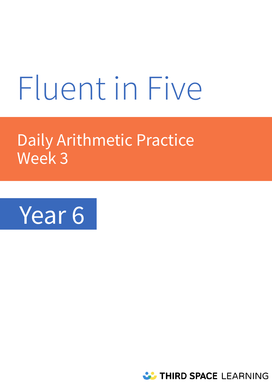# Fluent in Five

# Daily Arithmetic Practice Week 3



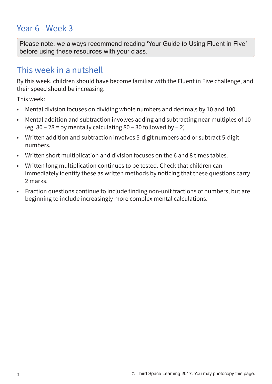# Year 6 - Week 3

**Please note, we always recommend reading 'Your Guide to Using Fluent in Five' before using these resources with your class.** 

# This week in a nutshell

By this week, children should have become familiar with the Fluent in Five challenge, and their speed should be increasing.

This week:

- Mental division focuses on dividing whole numbers and decimals by 10 and 100.
- Mental addition and subtraction involves adding and subtracting near multiples of 10 (eg. 80 – 28 = by mentally calculating 80 – 30 followed by + 2)
- Written addition and subtraction involves 5-digit numbers add or subtract 5-digit numbers.
- Written short multiplication and division focuses on the 6 and 8 times tables.
- Written long multiplication continues to be tested. Check that children can immediately identify these as written methods by noticing that these questions carry 2 marks.
- Fraction questions continue to include finding non-unit fractions of numbers, but are beginning to include increasingly more complex mental calculations.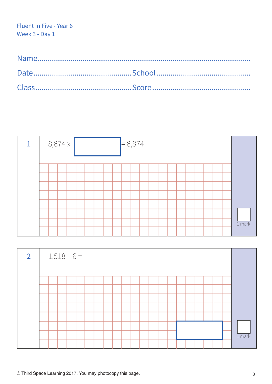

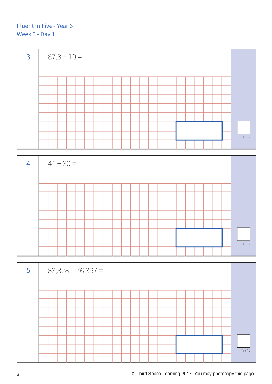

| 4 |  | $41 + 30 =$ |  |  |  |  |  |  |  |  |          |
|---|--|-------------|--|--|--|--|--|--|--|--|----------|
|   |  |             |  |  |  |  |  |  |  |  |          |
|   |  |             |  |  |  |  |  |  |  |  |          |
|   |  |             |  |  |  |  |  |  |  |  |          |
|   |  |             |  |  |  |  |  |  |  |  |          |
|   |  |             |  |  |  |  |  |  |  |  |          |
|   |  |             |  |  |  |  |  |  |  |  |          |
|   |  |             |  |  |  |  |  |  |  |  |          |
|   |  |             |  |  |  |  |  |  |  |  | $1$ mark |
|   |  |             |  |  |  |  |  |  |  |  |          |

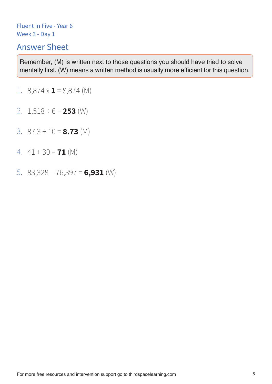# Answer Sheet

- 1.  $8,874 \times 1 = 8,874 \text{ (M)}$
- 2.  $1,518 \div 6 = 253$  (W)
- 3. 87.3 ÷ 10 = **8.73** (M)
- 4.  $41 + 30 = 71$  (M)
- 5. 83,328 76,397 = **6,931** (W)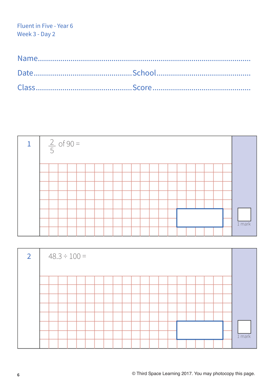

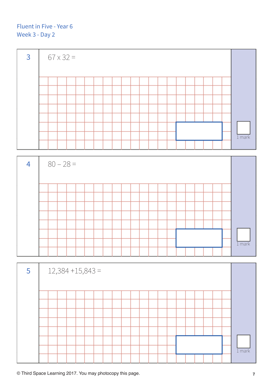

| $\overline{4}$ |  | $80 - 28 =$ |  |  |  |  |  |  |  |  |          |
|----------------|--|-------------|--|--|--|--|--|--|--|--|----------|
|                |  |             |  |  |  |  |  |  |  |  |          |
|                |  |             |  |  |  |  |  |  |  |  |          |
|                |  |             |  |  |  |  |  |  |  |  |          |
|                |  |             |  |  |  |  |  |  |  |  |          |
|                |  |             |  |  |  |  |  |  |  |  |          |
|                |  |             |  |  |  |  |  |  |  |  |          |
|                |  |             |  |  |  |  |  |  |  |  |          |
|                |  |             |  |  |  |  |  |  |  |  | $1$ mark |
|                |  |             |  |  |  |  |  |  |  |  |          |

| 5 | $12,384 + 15,843 =$ |  |  |  |  |  |  |  |  |  |          |
|---|---------------------|--|--|--|--|--|--|--|--|--|----------|
|   |                     |  |  |  |  |  |  |  |  |  |          |
|   |                     |  |  |  |  |  |  |  |  |  |          |
|   |                     |  |  |  |  |  |  |  |  |  |          |
|   |                     |  |  |  |  |  |  |  |  |  |          |
|   |                     |  |  |  |  |  |  |  |  |  |          |
|   |                     |  |  |  |  |  |  |  |  |  |          |
|   |                     |  |  |  |  |  |  |  |  |  |          |
|   |                     |  |  |  |  |  |  |  |  |  | $1$ mark |
|   |                     |  |  |  |  |  |  |  |  |  |          |

**© Third Space Learning 2017. You may photocopy this page. 7**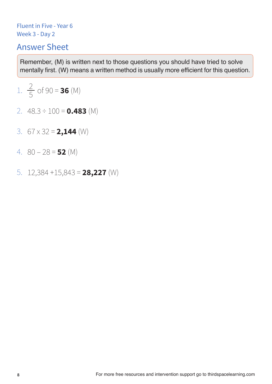# Answer Sheet

1. 
$$
\frac{2}{5}
$$
 of 90 = **36** (M)

- 2. 48.3 ÷ 100 = **0.483** (M)
- 3. 67 x 32 = **2,144** (W)
- 4.  $80 28 = 52$  (M)
- 5. 12,384 +15,843 = **28,227** (W)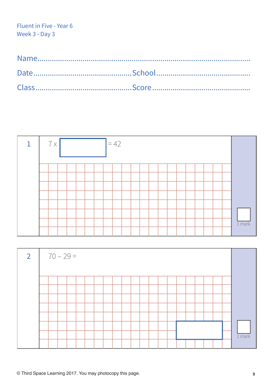

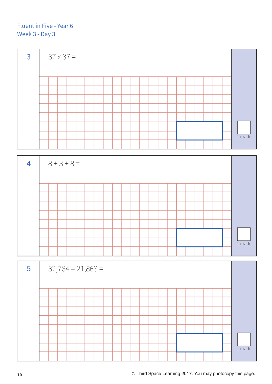3  $37 \times 37 =$ 1 mark





**10 © Third Space Learning 2017. You may photocopy this page.**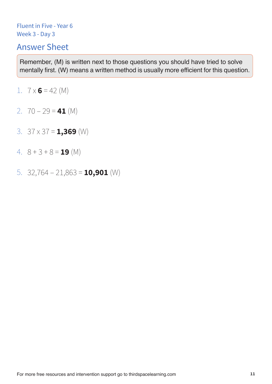# Answer Sheet

- 1.  $7 \times 6 = 42$  (M)
- 2.  $70 29 = 41$  (M)
- 3. 37 x 37 = **1,369** (W)
- 4.  $8 + 3 + 8 = 19$  (M)
- 5. 32,764 21,863 = **10,901** (W)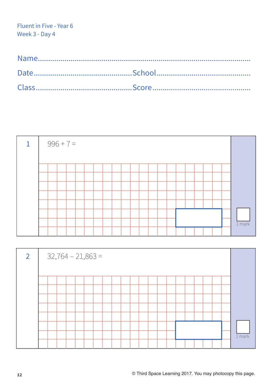|  |  | $996 + 7 =$ |  |  |  |  |  |  |  |  |          |
|--|--|-------------|--|--|--|--|--|--|--|--|----------|
|  |  |             |  |  |  |  |  |  |  |  |          |
|  |  |             |  |  |  |  |  |  |  |  |          |
|  |  |             |  |  |  |  |  |  |  |  |          |
|  |  |             |  |  |  |  |  |  |  |  |          |
|  |  |             |  |  |  |  |  |  |  |  |          |
|  |  |             |  |  |  |  |  |  |  |  |          |
|  |  |             |  |  |  |  |  |  |  |  |          |
|  |  |             |  |  |  |  |  |  |  |  | $1$ mark |
|  |  |             |  |  |  |  |  |  |  |  |          |

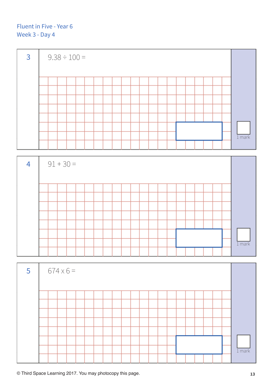

| $\overline{4}$ |  | $91 + 30 =$ |  |  |  |  |  |  |  |  |          |
|----------------|--|-------------|--|--|--|--|--|--|--|--|----------|
|                |  |             |  |  |  |  |  |  |  |  |          |
|                |  |             |  |  |  |  |  |  |  |  |          |
|                |  |             |  |  |  |  |  |  |  |  |          |
|                |  |             |  |  |  |  |  |  |  |  |          |
|                |  |             |  |  |  |  |  |  |  |  |          |
|                |  |             |  |  |  |  |  |  |  |  |          |
|                |  |             |  |  |  |  |  |  |  |  |          |
|                |  |             |  |  |  |  |  |  |  |  | $1$ mark |
|                |  |             |  |  |  |  |  |  |  |  |          |

| $5\phantom{1}$ |  | $674 \times 6 =$ |  |  |  |  |  |  |  |  |  |          |
|----------------|--|------------------|--|--|--|--|--|--|--|--|--|----------|
|                |  |                  |  |  |  |  |  |  |  |  |  |          |
|                |  |                  |  |  |  |  |  |  |  |  |  |          |
|                |  |                  |  |  |  |  |  |  |  |  |  |          |
|                |  |                  |  |  |  |  |  |  |  |  |  |          |
|                |  |                  |  |  |  |  |  |  |  |  |  |          |
|                |  |                  |  |  |  |  |  |  |  |  |  |          |
|                |  |                  |  |  |  |  |  |  |  |  |  |          |
|                |  |                  |  |  |  |  |  |  |  |  |  | $1$ mark |
|                |  |                  |  |  |  |  |  |  |  |  |  |          |

**© Third Space Learning 2017. You may photocopy this page. 13**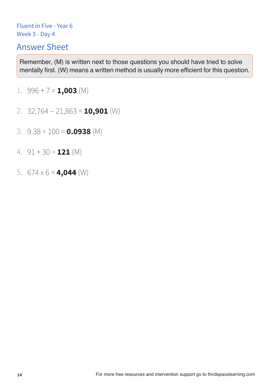## Answer Sheet

**Remember, (M) is written next to those questions you should have tried to solve mentally first. (W) means a written method is usually more efficient for this question.** 

1.  $996 + 7 = 1,003$  (M)

- 2. 32,764 21,863 = **10,901** (W)
- 3. 9.38 ÷ 100 = **0.0938** (M)
- 4. 91 + 30 = **121** (M)
- 5.  $674 \times 6 = 4,044$  (W)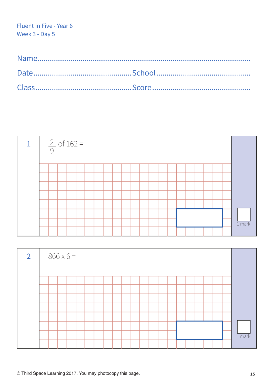

| $\overline{2}$ |  | $866 \times 6 =$ |  |  |  |  |  |  |  |  |          |
|----------------|--|------------------|--|--|--|--|--|--|--|--|----------|
|                |  |                  |  |  |  |  |  |  |  |  |          |
|                |  |                  |  |  |  |  |  |  |  |  |          |
|                |  |                  |  |  |  |  |  |  |  |  |          |
|                |  |                  |  |  |  |  |  |  |  |  |          |
|                |  |                  |  |  |  |  |  |  |  |  |          |
|                |  |                  |  |  |  |  |  |  |  |  |          |
|                |  |                  |  |  |  |  |  |  |  |  |          |
|                |  |                  |  |  |  |  |  |  |  |  | $1$ mark |
|                |  |                  |  |  |  |  |  |  |  |  |          |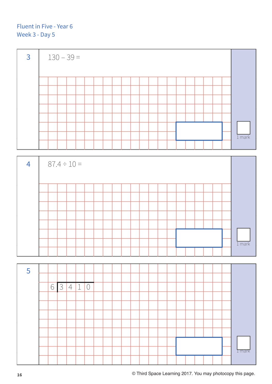

| $\overline{4}$ | $87.4 \div 10 =$ |  |  |  |  |  |  |  |  |  |  |  |  |  |  |  |  |  |  |          |  |
|----------------|------------------|--|--|--|--|--|--|--|--|--|--|--|--|--|--|--|--|--|--|----------|--|
|                |                  |  |  |  |  |  |  |  |  |  |  |  |  |  |  |  |  |  |  |          |  |
|                |                  |  |  |  |  |  |  |  |  |  |  |  |  |  |  |  |  |  |  |          |  |
|                |                  |  |  |  |  |  |  |  |  |  |  |  |  |  |  |  |  |  |  |          |  |
|                |                  |  |  |  |  |  |  |  |  |  |  |  |  |  |  |  |  |  |  |          |  |
|                |                  |  |  |  |  |  |  |  |  |  |  |  |  |  |  |  |  |  |  |          |  |
|                |                  |  |  |  |  |  |  |  |  |  |  |  |  |  |  |  |  |  |  |          |  |
|                |                  |  |  |  |  |  |  |  |  |  |  |  |  |  |  |  |  |  |  |          |  |
|                |                  |  |  |  |  |  |  |  |  |  |  |  |  |  |  |  |  |  |  | $1$ mark |  |
|                |                  |  |  |  |  |  |  |  |  |  |  |  |  |  |  |  |  |  |  |          |  |

5 1 mark 6 3 4 1 0